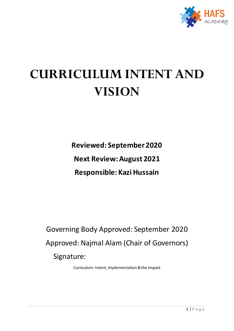

# **CURRICULUM INTENT AND VISION**

**Reviewed: September 2020 Next Review: August 2021 Responsible: Kazi Hussain**

Governing Body Approved: September 2020 Approved: Najmal Alam (Chair of Governors) Signature:

Curriculum: Intent, Implementation & the Impact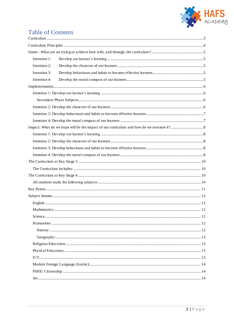

## Table of Contents

| Intention 1: |  |  |  |  |
|--------------|--|--|--|--|
| Intention 2: |  |  |  |  |
| Intention 3: |  |  |  |  |
| Intention 4: |  |  |  |  |
|              |  |  |  |  |
|              |  |  |  |  |
|              |  |  |  |  |
|              |  |  |  |  |
|              |  |  |  |  |
|              |  |  |  |  |
|              |  |  |  |  |
|              |  |  |  |  |
|              |  |  |  |  |
|              |  |  |  |  |
|              |  |  |  |  |
|              |  |  |  |  |
|              |  |  |  |  |
|              |  |  |  |  |
|              |  |  |  |  |
|              |  |  |  |  |
|              |  |  |  |  |
|              |  |  |  |  |
|              |  |  |  |  |
|              |  |  |  |  |
|              |  |  |  |  |
|              |  |  |  |  |
|              |  |  |  |  |
|              |  |  |  |  |
|              |  |  |  |  |
|              |  |  |  |  |
|              |  |  |  |  |
|              |  |  |  |  |
|              |  |  |  |  |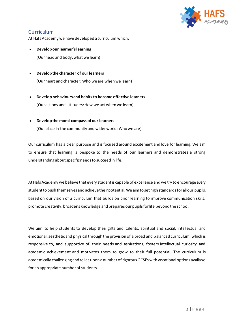

### <span id="page-2-0"></span>**Curriculum**

At Hafs Academy we have developed a curriculum which:

- **Develop our learner's learning**  (Our head and body: what we learn)
- **Develop the character of our learners**  (Our heart and character: Who we are when we learn)
- **Develop behaviours and habits to become effective learners**  (Our actions and attitudes: How we act when we learn)
- **Develop the moral compass of our learners**

(Our place in the community and wider world: Who we are)

Our curriculum has a clear purpose and is focused around excitement and love for learning. We aim to ensure that learning is bespoke to the needs of our learners and demonstrates a strong understanding about specific needs to succeed in life.

At Hafs Academy we believe that every student is capable of excellence and we try to encourage every student to push themselves and achieve their potential. We aim to set high standards for all our pupils, based on our vision of a curriculum that builds on prior learning to improve communication skills, promote creativity, broadens knowledge and prepares our pupils for life beyond the school.

We aim to help students to develop their gifts and talents: spiritual and social; intellectual and emotional; aesthetic and physical through the provision of a broad and balanced curriculum, which is responsive to, and supportive of, their needs and aspirations, fosters intellectual curiosity and academic achievement and motivates them to grow to their full potential. The curriculum is academically challenging and relies upon a number of rigorous GCSEs with vocational options available for an appropriate number of students.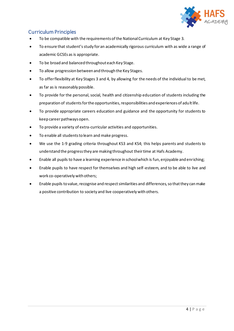

### <span id="page-3-0"></span>Curriculum Principles

- To be compatible with the requirements of the National Curriculum at Key Stage 3.
- To ensure that student'sstudy for an academically rigorous curriculum with as wide a range of academic GCSEs as is appropriate.
- To be broad and balanced throughout each Key Stage.
- To allow progression between and through the Key Stages.
- To offer flexibility at Key Stages 3 and 4, by allowing for the needs of the individual to be met, as far as is reasonably possible.
- To provide for the personal, social, health and citizenship education of students including the preparation of students for the opportunities, responsibilities and experiences of adult life.
- To provide appropriate careers education and guidance and the opportunity for students to keep career pathways open.
- To provide a variety of extra-curricular activities and opportunities.
- To enable all students to learn and make progress.
- We use the 1-9 grading criteria throughout KS3 and KS4; this helps parents and students to understand the progress they are making throughout their time at Hafs Academy.
- Enable all pupils to have a learning experience in school which is fun, enjoyable and enriching;
- Enable pupils to have respect for themselves and high self-esteem, and to be able to live and work co-operatively with others;
- Enable pupils to value, recognise and respect similarities and differences, so that they can make a positive contribution to society and live cooperatively with others.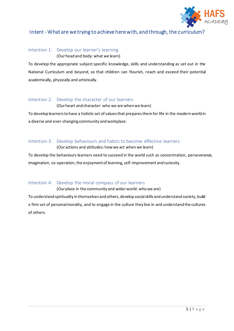

### <span id="page-4-0"></span>Intent - What are we trying to achieve here with, and through, the curriculum?

### <span id="page-4-1"></span>Intention 1: Develop our learner's learning

(Our head and body: what we learn)

To develop the appropriate subject specific knowledge, skills and understanding as set out in the National Curriculum and beyond, so that children can flourish, reach and exceed their potential academically, physically and artistically.

### <span id="page-4-2"></span>Intention 2: Develop the character of our learners

(Our heart and character: who we are when we learn)

To develop learners to have a holistic set of values that prepares them for life in the modern world in a diverse and ever-changing community and workplace.

### <span id="page-4-3"></span>Intention 3: Develop behaviours and habits to become effective learners

(Our actions and attitudes: how we act when we learn)

To develop the behaviours learners need to succeed in the world such as concentration, perseverance, imagination, co-operation, the enjoyment of learning, self-improvement and curiosity.

### <span id="page-4-4"></span>Intention 4: Develop the moral compass of our learners

(Our place in the community and wider world: who we are)

To understand spirituality in themselves and others, develop social skills and understand society, build a firm set of personal morality, and to engage in the culture they live in and understand the cultures of others.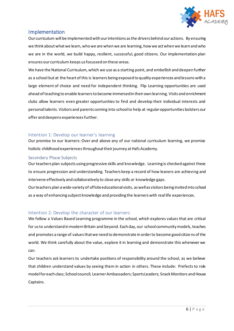

### <span id="page-5-0"></span>Implementation

Our curriculum will be implemented with our intentions as the drivers behind our actions. By ensuring we think about what we learn, who we are when we are learning, how we act when we learn and who we are in the world, we build happy, resilient, successful, good citizens. Our implementation plan ensures our curriculum keeps us focussed on these areas.

We have the National Curriculum, which we use as a starting point, and embellish and deepen further as a school but at the heart of this is learners being exposed to quality experiences and lessons with a large element of choice and need for independent thinking. Flip Learning opportunities are used ahead of teaching to enable learners to become immersed in their own learning. Visits and enrichment clubs allow learners even greater opportunities to find and develop their individual interests and personal talents. Visitors and parents coming into school to help at regular opportunities bolsters our offer and deepens experiences further.

### <span id="page-5-1"></span>Intention 1: Develop our learner's learning

Our promise to our learners: Over and above any of our national curriculum learning, we promise holistic childhood experiences throughout their journey at Hafs Academy.

### <span id="page-5-2"></span>Secondary Phase Subjects

Our teachers plan subjects using progressive skills and knowledge. Learning is checked against these to ensure progression and understanding. Teachers keep a record of how leaners are achieving and intervene effectively and collaboratively to close any skills or knowledge gaps.

Our teachers plan a wide variety of offsite educational visits, as well as visitors being invited into school as a way of enhancing subject knowledge and providing the learners with real life experiences.

### <span id="page-5-3"></span>Intention 2: Develop the character of our learners

We follow a Values Based Learning programme in the school, which explores values that are critical for us to understand in modern Britain and beyond. Each day, our school community models, teaches and promotes a range of values that we need to demonstrate in order to become good citize ns of the world. We think carefully about the value, explore it in learning and demonstrate this whenever we can.

Our teachers ask learners to undertake positions of responsibility around the school, as we believe that children understand values by seeing them in action in others. These include: Prefects to role model for each class; School council; Learner Ambassadors; Sports Leaders; Snack Monitors and House Captains.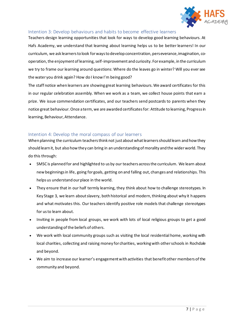

### <span id="page-6-0"></span>Intention 3: Develop behaviours and habits to become effective learners

Teachers design learning opportunities that look for ways to develop good learning behaviours. At Hafs Academy, we understand that learning about learning helps us to be better learners! In our curriculum, we ask learners to look for ways to develop concentration, perseverance, imagination, cooperation, the enjoyment of learning, self-improvement and curiosity. For example, in the curriculum we try to frame our learning around questions: Where do the leaves go in winter? Will you ever see the water you drink again? How do I know I'm being good?

The staff notice when learners are showing great learning behaviours. We award certificates for this in our regular celebration assembly. When we work as a team, we collect house points that earn a prize. We issue commendation certificates, and our teachers send postcards to parents when they notice great behaviour. Once a term, we are awarded certificates for: Attitude to learning, Progress in learning, Behaviour, Attendance.

### <span id="page-6-1"></span>Intention 4: Develop the moral compass of our learners

When planning the curriculum teachers think not just about what learners should learn and how they should learn it, but also how they can bring in an understanding of morality and the wider world. They do this through:

- SMSC is planned for and highlighted to us by our teachers across the curriculum. We learn about new beginnings in life, going for goals, getting on and falling out, changes and relationships. This helps us understand our place in the world.
- They ensure that in our half termly learning, they think about how to challenge stereotypes. In Key Stage 3, we learn about slavery, both historical and modern, thinking about why it happens and what motivates this. Our teachers identify positive role models that challenge stereotypes for us to learn about.
- Inviting in people from local groups, we work with lots of local religious groups to get a good understanding of the beliefs of others.
- We work with local community groups such as visiting the local residential home, working with local charities, collecting and raising money for charities, working with other schools in Rochdale and beyond.
- We aim to increase our learner's engagement with activities that benefit other members of the community and beyond.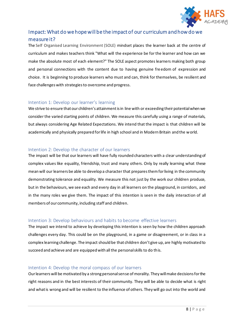

### <span id="page-7-0"></span>Impact: What do we hope will be the impact of our curriculum and how do we measure it?

The Self Organised Learning Environment (SOLE) mindset places the learner back at the centre of curriculum and makes teachers think "What will the experience be for the learner and how can we make the absolute most of each element?" The SOLE aspect promotes learners making both group and personal connections with the content due to having genuine freedom of expression and choice. It is beginning to produce learners who must and can, think for themselves, be resilient and face challenges with strategies to overcome and progress.

### <span id="page-7-1"></span>Intention 1: Develop our learner's learning

We strive to ensure that our children's attainment is in line with or exceeding their potential when we consider the varied starting points of children. We measure this carefully using a range of materials, but always considering Age Related Expectations. We intend that the impact is that children will be academically and physically prepared for life in high school and in Modern Britain and the world.

### <span id="page-7-2"></span>Intention 2: Develop the character of our learners

The impact will be that our learners will have fully rounded characters with a clear understanding of complex values like equality, friendship, trust and many others. Only by really learning what these mean will our learners be able to develop a character that prepares them for living in the community demonstrating tolerance and equality. We measure this not just by the work our children produce, but in the behaviours, we see each and every day in all learners on the playground, in corridors, and in the many roles we give them. The impact of this intention is seen in the daily interaction of all members of our community, including staff and children.

### <span id="page-7-3"></span>Intention 3: Develop behaviours and habits to become effective learners

The impact we intend to achieve by developing this intention is seen by how the children approach challenges every day. This could be on the playground, in a game or disagreement, or in class in a complex learning challenge. The impact should be that children don't give up, are highly motivated to succeed and achieve and are equipped with all the personal skills to do this.

### <span id="page-7-4"></span>Intention 4: Develop the moral compass of our learners

Our learners will be motivated by a strong personal sense of morality. They will make decisions for the right reasons and in the best interests of their community. They will be able to decide what is right and what is wrong and will be resilient to the influence of others. They will go out into the world and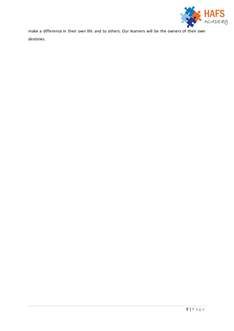

make a difference in their own life and to others. Our learners will be the owners of their own destinies.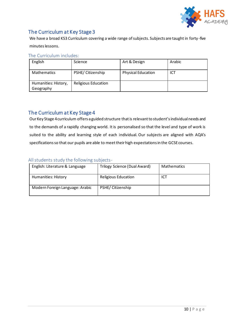

### <span id="page-9-0"></span>The Curriculum at Key Stage 3

We have a broad KS3 Curriculum covering a wide range of subjects. Subjects are taught in forty-five minutes lessons.

### <span id="page-9-1"></span>The Curriculum includes:

| English                           | Science                    | Art & Design              | Arabic |
|-----------------------------------|----------------------------|---------------------------|--------|
| <b>Mathematics</b>                | PSHE/ Citizenship          | <b>Physical Education</b> | ICT    |
| Humanities: History,<br>Geography | <b>Religious Education</b> |                           |        |

### <span id="page-9-2"></span>The Curriculum at Key Stage 4

Our Key Stage 4 curriculum offers a guided structure that is relevant to student's individual needs and to the demands of a rapidly changing world. It is personalised so that the level and type of work is suited to the ability and learning style of each individual. Our subjects are aligned with AQA's specifications so that our pupils are able to meet their high expectations in the GCSE courses.

### <span id="page-9-3"></span>All students study the following subjects-

| English: Literature & Language  | Trilogy Science (Dual Award) | Mathematics |
|---------------------------------|------------------------------|-------------|
| Humanities: History             | <b>Religious Education</b>   | ICT         |
| Modern Foreign Language: Arabic | PSHE/ Citizenship            |             |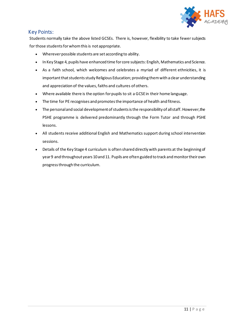

### <span id="page-10-0"></span>Key Points:

Students normally take the above listed GCSEs. There is, however, flexibility to take fewer subjects for those students for whom this is not appropriate.

- Wherever possible students are set according to ability.
- In Key Stage 4, pupils have enhanced time for core subjects: English, Mathematics and Science.
- As a faith school, which welcomes and celebrates a myriad of different ethnicities, it is important that students study Religious Education; providing them with a clear understanding and appreciation of the values, faiths and cultures of others.
- Where available there is the option for pupils to sit a GCSE in their home language.
- The time for PE recognises and promotes the importance of health and fitness.
- The personal and social development of students is the responsibility of all staff. However, the PSHE programme is delivered predominantly through the Form Tutor and through PSHE lessons.
- All students receive additional English and Mathematics support during school intervention sessions.
- Details of the Key Stage 4 curriculum is often shared directly with parents at the beginning of year 9 and throughout years 10and 11. Pupils are often guided to track and monitor their own progress through the curriculum.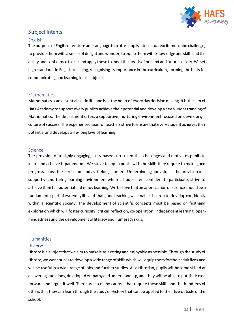

### <span id="page-11-0"></span>Subject Intents:

### <span id="page-11-1"></span>English

The purpose of English literature and Language is to offer pupils intellectual excitement and challenge; to provide them with a sense of delight and wonder; to equip them with knowledge and skills and the ability and confidence to use and apply these to meet the needs of present and future society. We set high standards in English teaching, recognising its importance in the curriculum, forming the basis for communicating and learning in all subjects.

### <span id="page-11-2"></span>Mathematics

Mathematics is an essential skill in life and is at the heart of every day decision making. It is the aim of Hafs Academy to support every pupil to achieve their potential and develop a deep understanding of Mathematics. The department offers a supportive, nurturing environment focused on developing a culture of success. The experienced team of teachers strive to ensure that every student achieves their potential and develops a life-long love of learning.

### <span id="page-11-3"></span>Science

The provision of a highly engaging, skills-based curriculum that challenges and motivates pupils to learn and achieve is paramount. We strive to equip pupils with the skills they require to make good progress across the curriculum and as lifelong learners. Underpinning our vision is the provision of a supportive, nurturing learning environment where all pupils feel confident to participate, strive to achieve their full potential and enjoy learning. We believe that an appreciation of science should be a fundamental part of everyday life and that good teaching will enable children to develop confidently within a scientific society. The development of scientific concepts must be based on firsthand exploration which will foster curiosity, critical reflection, co-operation, independent learning, openmindedness and the development of literacy and numeracy skills.

### <span id="page-11-4"></span>**Humanities**

### <span id="page-11-5"></span>History:

History is a subject that we aim to make it as exciting and enjoyable as possible. Through the study of History, we want pupils to develop a wide range of skills which will equip them for their adult lives and will be useful in a wide range of jobs and further studies. As a Historian, pupils will become skilled at answering questions, developed empathy and understanding, and they will be able to put their case forward and argue it well. There are so many careers that require these skills and the hundreds of others that they can learn through the study of History that can be applied to their live outside of the school.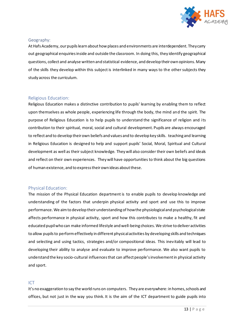

### <span id="page-12-0"></span>Geography:

At Hafs Academy, our pupils learn about how places and environments are interdependent. They carry out geographical enquiries inside and outside the classroom. In doing this, they identify geographical questions, collect and analyse written and statistical evidence, and develop their own opinions. Many of the skills they develop within this subject is interlinked in many ways to the other subjects they study across the curriculum.

### <span id="page-12-1"></span>Religious Education:

Religious Education makes a distinctive contribution to pupils' learning by enabling them to reflect upon themselves as whole people, experiencing life through the body, the mind and the spirit. The purpose of Religious Education is to help pupils to understand the significance of religion and its contribution to their spiritual, moral, social and cultural development. Pupils are always encouraged to reflect and to develop their own beliefs and values and to develop key skills. teaching and learning in Religious Education is designed to help and support pupils' Social, Moral, Spiritual and Cultural development as well as their subject knowledge. They will also consider their own beliefs and ideals and reflect on their own experiences. They will have opportunities to think about the big questions of human existence, and to express their own ideas about these.

### <span id="page-12-2"></span>Physical Education:

The mission of the Physical Education department is to enable pupils to develop knowledge and understanding of the factors that underpin physical activity and sport and use this to improve performance. We aim to develop their understanding of how the physiological and psychological state affects performance in physical activity, sport and how this contributes to make a healthy, fit and educated pupil who can make informed lifestyle and well-being choices. We strive to deliver activities to allow pupils to perform effectively in different physical activities by developing skills and techniques and selecting and using tactics, strategies and/or compositional ideas. This inevitably will lead to developing their ability to analyse and evaluate to improve performance. We also want pupils to understand the key socio-cultural influences that can affect people's involvement in physical activity and sport.

### <span id="page-12-3"></span>ICT

It's no exaggeration to say the world runs on computers. They are everywhere: in homes,schools and offices, but not just in the way you think. It is the aim of the ICT department to guide pupils into